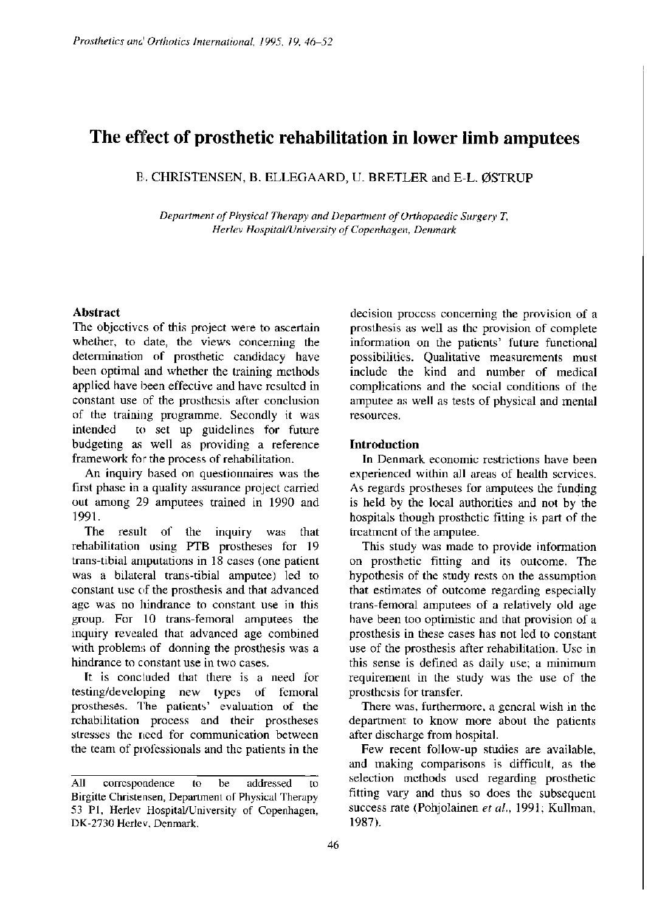# **The effect of prosthetic rehabilitation in lower limb amputees**

B. CHRISTENSEN, B. ELLEGAARD, U. BRETLER and E-L. ØSTRUP

*Department of Physical Therapy and Department of Orthopaedic Surgery T, Herlev Hospital/University of Copenhagen, Denmark* 

# **Abstract**

The objectives of this project were to ascertain whether, to date, the views concerning the determination of prosthetic candidacy have been optimal and whether the training methods applied have been effective and have resulted in constant use of the prosthesis after conclusion of the training programme. Secondly it was intended to set up guidelines for future budgeting as well as providing a reference framework for the process of rehabilitation.

An inquiry based on questionnaires was the first phase in a quality assurance project carried out among 29 amputees trained in 1990 and 1991.

The result of the inquiry was that rehabilitation using PTB prostheses for 19 trans-tibial amputations in 18 cases (one patient was a bilateral trans-tibial amputee) led to constant use of the prosthesis and that advanced age was no hindrance to constant use in this group. For 10 trans-femoral amputees the inquiry revealed that advanced age combined with problems of donning the prosthesis was a hindrance to constant use in two cases.

It is concluded that there is a need for testing/developing new types of femoral prostheses. The patients' evaluation of the rehabilitation process and their prostheses stresses the need for communication between the team of professionals and the patients in the

decision process concerning the provision of a prosthesis as well as the provision of complete information on the patients' future functional possibilities. Qualitative measurements must include the kind and number of medical complications and the social conditions of the amputee as well as tests of physical and mental resources.

# **Introduction**

In Denmark economic restrictions have been experienced within all areas of health services. As regards prostheses for amputees the funding is held by the local authorities and not by the hospitals though prosthetic fitting is part of the treatment of the amputee.

This study was made to provide information on prosthetic fitting and its outcome. The hypothesis of the study rests on the assumption that estimates of outcome regarding especially trans-femoral amputees of a relatively old age have been too optimistic and that provision of a prosthesis in these cases has not led to constant use of the prosthesis after rehabilitation. Use in this sense is defined as daily use; a minimum requirement in the study was the use of the prosthesis for transfer.

There was, furthermore, a general wish in the department to know more about the patients after discharge from hospital.

Few recent follow-up studies are available, and making comparisons is difficult, as the selection methods used regarding prosthetic fitting vary and thus so does the subsequent success rate (Pohjolainen *et al.,* 1991; Kullman, 1987).

**All correspondence to be addressed to Birgitte Christensen, Department of Physical Therapy 53 P1, Herlev Hospital/University of Copenhagen, DK-2730 Herlev, Denmark.**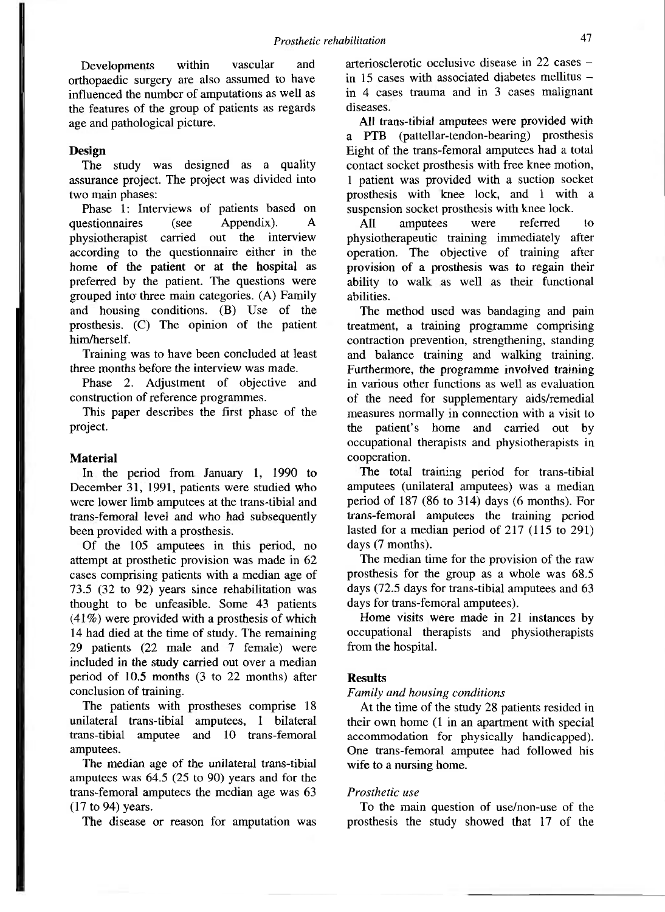Developments within vascular and orthopaedic surgery are also assumed to have influenced the number of amputations as well as the features of the group of patients as regards age and pathological picture.

## **Design**

The study was designed as a quality assurance project. The project was divided into two main phases:

Phase 1: Interviews of patients based on questionnaires (see Appendix). A physiotherapist carried out the interview according to the questionnaire either in the home of the patient or at the hospital as preferred by the patient. The questions were grouped into three main categories. (A) Family and housing conditions. (B) Use of the prosthesis. (C) The opinion of the patient him/herself.

Training was to have been concluded at least three months before the interview was made.

Phase 2. Adjustment of objective and construction of reference programmes.

This paper describes the first phase of the project.

#### **Material**

In the period from January 1, 1990 to December 31, 1991, patients were studied who were lower limb amputees at the trans-tibial and trans-femoral level and who had subsequently been provided with a prosthesis.

Of the 105 amputees in this period, no attempt at prosthetic provision was made in 62 cases comprising patients with a median age of 73.5 (32 to 92) years since rehabilitation was thought to be unfeasible. Some 43 patients (41%) were provided with a prosthesis of which 14 had died at the time of study. The remaining 29 patients (22 male and 7 female) were included in the study carried out over a median period of 10.5 months (3 to 22 months) after conclusion of training.

The patients with prostheses comprise 18 unilateral trans-tibial amputees, 1 bilateral trans-tibial amputee and 10 trans-femoral amputees.

The median age of the unilateral trans-tibial amputees was 64.5 (25 to 90) years and for the trans-femoral amputees the median age was 63 (17 to 94) years.

The disease or reason for amputation was

arteriosclerotic occlusive disease in 22 cases in 15 cases with associated diabetes mellitus  $$ in 4 cases trauma and in 3 cases malignant diseases.

All trans-tibial amputees were provided with a PTB (pattellar-tendon-bearing) prosthesis Eight of the trans-femoral amputees had a total contact socket prosthesis with free knee motion, 1 patient was provided with a suction socket prosthesis with knee lock, and 1 with a suspension socket prosthesis with knee lock.

All amputees were referred to physiotherapeutic training immediately after operation. The objective of training after provision of a prosthesis was to regain their ability to walk as well as their functional abilities.

The method used was bandaging and pain treatment, a training programme comprising contraction prevention, strengthening, standing and balance training and walking training. Furthermore, the programme involved training in various other functions as well as evaluation of the need for supplementary aids/remedial measures normally in connection with a visit to the patient's home and carried out by occupational therapists and physiotherapists in cooperation.

The total training period for trans-tibial amputees (unilateral amputees) was a median period of 187 (86 to 314) days (6 months). For trans-femoral amputees the training period lasted for a median period of 217 (115 to 291) days (7 months).

The median time for the provision of the raw prosthesis for the group as a whole was 68.5 days (72.5 days for trans-tibial amputees and 63 days for trans-femoral amputees).

Home visits were made in 21 instances by occupational therapists and physiotherapists from the hospital.

#### **Results**

#### *Family and housing conditions*

At the time of the study 28 patients resided in their own home (1 in an apartment with special accommodation for physically handicapped). One trans-femoral amputee had followed his wife to a nursing home.

## *Prosthetic use*

To the main question of use/non-use of the prosthesis the study showed that 17 of the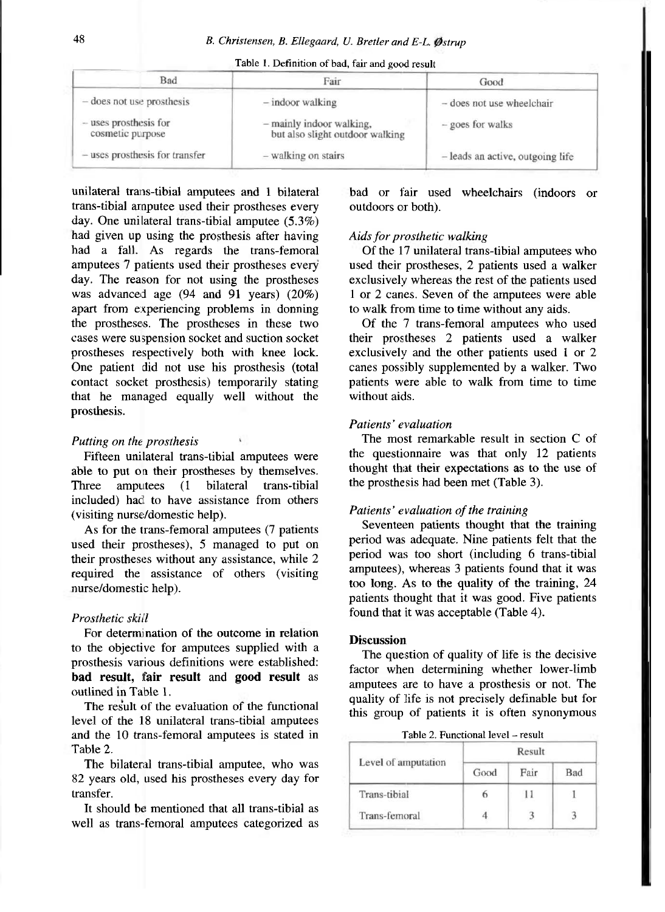| Fair                                                        | Good                             |  |  |
|-------------------------------------------------------------|----------------------------------|--|--|
| $-$ indoor walking                                          | - does not use wheelchair        |  |  |
| - mainly indoor walking,<br>but also slight outdoor walking | - goes for walks                 |  |  |
| - walking on stairs                                         | - leads an active, outgoing life |  |  |
|                                                             |                                  |  |  |

**Table 1. Definition of bad, fair and good result** 

unilateral trans-tibial amputees and 1 bilateral trans-tibial amputee used their prostheses every day. One unilateral trans-tibial amputee (5.3%) had given up using the prosthesis after having had a fall. As regards the trans-femoral amputees 7 patients used their prostheses every day. The reason for not using the prostheses was advanced age (94 and 91 years) (20%) apart from experiencing problems in donning the prostheses. The prostheses in these two cases were suspension socket and suction socket prostheses respectively both with knee lock. One patient did not use his prosthesis (total contact socket prosthesis) temporarily stating that he managed equally well without the prosthesis.

#### *Putting on the prosthesis*

Fifteen unilateral trans-tibial amputees were able to put on their prostheses by themselves. Three amputees (1 bilateral trans-tibial included) had to have assistance from others (visiting nurse/domestic help).

As for the trans-femoral amputees (7 patients used their prostheses), 5 managed to put on their prostheses without any assistance, while 2 required the assistance of others (visiting nurse/domestic help).

#### *Prosthetic skill*

For determination of the outcome in relation to the objective for amputees supplied with a prosthesis various definitions were established: **bad result, fair result** and **good result** as outlined in Table 1.

The result of the evaluation of the functional level of the 18 unilateral trans-tibial amputees and the 10 trans-femoral amputees is stated in Table 2.

The bilateral trans-tibial amputee, who was 82 years old, used his prostheses every day for transfer.

It should be mentioned that all trans-tibial as well as trans-femoral amputees categorized as bad or fair used wheelchairs (indoors or outdoors or both).

#### *Aids for prosthetic walking*

Of the 17 unilateral trans-tibial amputees who used their prostheses, 2 patients used a walker exclusively whereas the rest of the patients used 1 or 2 canes. Seven of the amputees were able to walk from time to time without any aids.

Of the 7 trans-femoral amputees who used their prostheses 2 patients used a walker exclusively and the other patients used 1 or 2 canes possibly supplemented by a walker. Two patients were able to walk from time to time without aids.

# *Patients' evaluation*

The most remarkable result in section C of the questionnaire was that only 12 patients thought that their expectations as to the use of the prosthesis had been met (Table 3).

## *Patients' evaluation of the training*

Seventeen patients thought that the training period was adequate. Nine patients felt that the period was too short (including 6 trans-tibial amputees), whereas 3 patients found that it was too long. As to the quality of the training, 24 patients thought that it was good. Five patients found that it was acceptable (Table 4).

## **Discussion**

The question of quality of life is the decisive factor when determining whether lower-limb amputees are to have a prosthesis or not. The quality of life is not precisely definable but for this group of patients it is often synonymous

Table 2. Functional level - result

|                     |      | Result |     |
|---------------------|------|--------|-----|
| Level of amputation | Good | Fair   | Bad |
| Trans-tibial        |      |        |     |
| Trans-femoral       |      |        |     |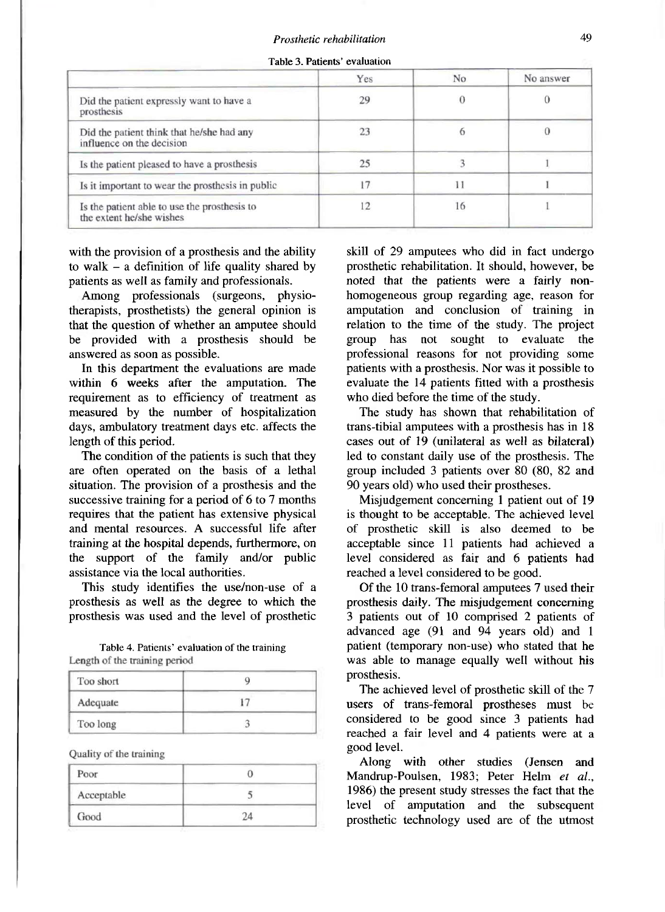**Table 3. Patients' evaluation** 

|                                                                          | Yes | N <sub>o</sub> | No answer |
|--------------------------------------------------------------------------|-----|----------------|-----------|
| Did the patient expressly want to have a<br>prosthesis                   | 29  |                |           |
| Did the patient think that he/she had any<br>influence on the decision   | 23  |                |           |
| Is the patient pleased to have a prosthesis                              | 25  |                |           |
| Is it important to wear the prosthesis in public                         | 17  | 11             |           |
| Is the patient able to use the prosthesis to<br>the extent he/she wishes | 12  | 16             |           |

with the provision of a prosthesis and the ability to walk  $-$  a definition of life quality shared by patients as well as family and professionals.

Among professionals (surgeons, physiotherapists, prosthetists) the general opinion is that the question of whether an amputee should be provided with a prosthesis should be answered as soon as possible.

In this department the evaluations are made within 6 weeks after the amputation. The requirement as to efficiency of treatment as measured by the number of hospitalization days, ambulatory treatment days etc. affects the length of this period.

The condition of the patients is such that they are often operated on the basis of a lethal situation. The provision of a prosthesis and the successive training for a period of 6 to 7 months requires that the patient has extensive physical and mental resources. A successful life after training at the hospital depends, furthermore, on the support of the family and/or public assistance via the local authorities.

This study identifies the use/non-use of a prosthesis as well as the degree to which the prosthesis was used and the level of prosthetic

**Table 4. Patients' evaluation of the training Length of the training period** 

| Too short |  |
|-----------|--|
| Adequate  |  |
| Too long  |  |

Quality of the training

| Poor       |  |
|------------|--|
| Acceptable |  |
| Good       |  |

skill of 29 amputees who did in fact undergo prosthetic rehabilitation. It should, however, be noted that the patients were a fairly nonhomogeneous group regarding age, reason for amputation and conclusion of training in relation to the time of the study. The project group has not sought to evaluate the professional reasons for not providing some patients with a prosthesis. Nor was it possible to evaluate the 14 patients fitted with a prosthesis who died before the time of the study.

The study has shown that rehabilitation of trans-tibial amputees with a prosthesis has in 18 cases out of 19 (unilateral as well as bilateral) led to constant daily use of the prosthesis. The group included 3 patients over 80 (80, 82 and 90 years old) who used their prostheses.

Misjudgement concerning 1 patient out of 19 is thought to be acceptable. The achieved level of prosthetic skill is also deemed to be acceptable since 11 patients had achieved a level considered as fair and 6 patients had reached a level considered to be good.

Of the 10 trans-femoral amputees 7 used their prosthesis daily. The misjudgement concerning 3 patients out of 10 comprised 2 patients of advanced age (91 and 94 years old) and 1 patient (temporary non-use) who stated that he was able to manage equally well without his prosthesis.

The achieved level of prosthetic skill of the 7 users of trans-femoral prostheses must be considered to be good since 3 patients had reached a fair level and 4 patients were at a good level.

Along with other studies (Jensen and Mandrup-Poulsen, 1983; Peter Helm *et al.,*  1986) the present study stresses the fact that the level of amputation and the subsequent prosthetic technology used are of the utmost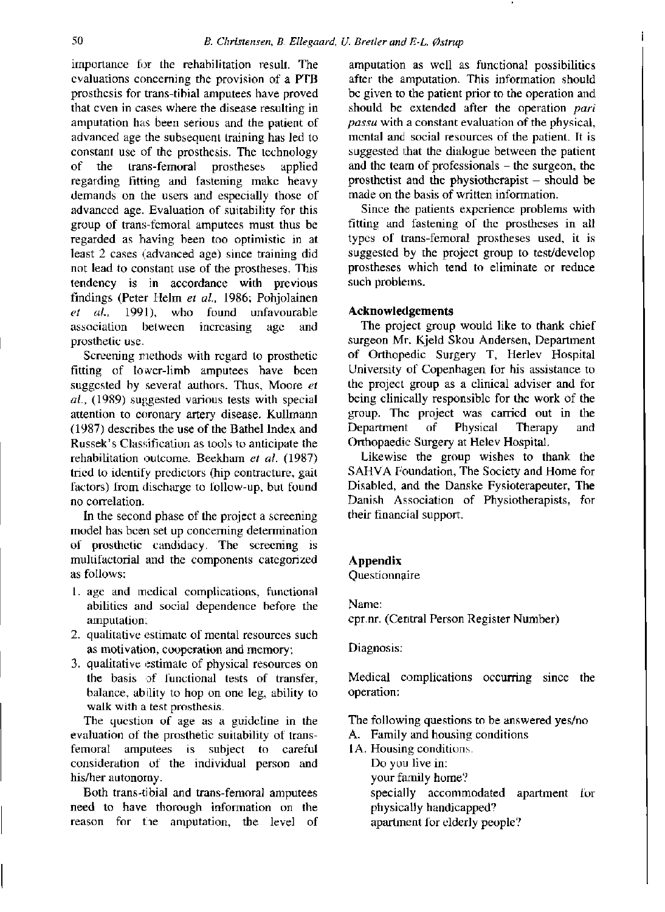importance for the rehabilitation result. The evaluations concerning the provision of a PTB prosthesis for trans-tibial amputees have proved that even in cases where the disease resulting in amputation has been serious and the patient of advanced age the subsequent training has led to constant use of the prosthesis. The technology of the trans-femoral prostheses applied regarding fitting and fastening make heavy demands on the users and especially those of advanced age. Evaluation of suitability for this group of trans-femoral amputees must thus be regarded as having been too optimistic in at least 2 cases (advanced age) since training did not lead to constant use of the prostheses. This tendency is in accordance with previous findings (Peter Helm *et al.,* 1986; Pohjolainen *et al.,* 1991), who found unfavourable association between increasing age and prosthetic use.

Screening methods with regard to prosthetic fitting of lower-limb amputees have been suggested by several authors. Thus, Moore *et al.,* (1989) suggested various tests with special attention to coronary artery disease. Kullmann (1987) describes the use of the Bathel Index and Russek's Classification as tools to anticipate the rehabilitation outcome. Beekham *et al.* (1987) tried to identify predictors (hip contracture, gait factors) from discharge to follow-up, but found no correlation.

In the second phase of the project a screening model has been set up concerning determination of prosthetic candidacy. The screening is multifactorial and the components categorized as follows:

- 1. age and medical complications, functional abilities and social dependence before the amputation;
- 2. qualitative estimate of mental resources such as motivation, cooperation and memory;
- 3. qualitative estimate of physical resources on the basis of functional tests of transfer, balance, ability to hop on one leg, ability to walk with a test prosthesis.

The question of age as a guideline in the evaluation of the prosthetic suitability of transfemoral amputees is subject to careful consideration of the individual person and his/her autonomy.

Both trans-tibial and trans-femoral amputees need to have thorough information on the reason for the amputation, the level of

amputation as well as functional possibilities after the amputation. This information should be given to the patient prior to the operation and should be extended after the operation *pari passu* with a constant evaluation of the physical, mental and social resources of the patient. It is suggested that the dialogue between the patient and the team of professionals  $-$  the surgeon, the prosthetist and the physiotherapist  $-$  should be made on the basis of written information.

Since the patients experience problems with fitting and fastening of the prostheses in all types of trans-femoral prostheses used, it is suggested by the project group to test/develop prostheses which tend to eliminate or reduce such problems.

# **Acknowledgements**

The project group would like to thank chief surgeon Mr. Kjeld Skou Andersen, Department of Orthopedic Surgery T, Herlev Hospital University of Copenhagen for his assistance to the project group as a clinical adviser and for being clinically responsible for the work of the group. The project was carried out in the Department of Physical Therapy and Orthopaedic Surgery at Helev Hospital.

Likewise the group wishes to thank the SAHVA Foundation, The Society and Home for Disabled, and the Danske Fysioterapeuter, The Danish Association of Physiotherapists, for their financial support.

# **Appendix**

Questionnaire

Name: cpr.nr. (Central Person Register Number)

Diagnosis:

Medical complications occurring since the operation:

The following questions to be answered yes/no

A. Family and housing conditions

1A. Housing conditions.

Do you live in: your family home?

specially accommodated apartment for physically handicapped?

apartment for elderly people?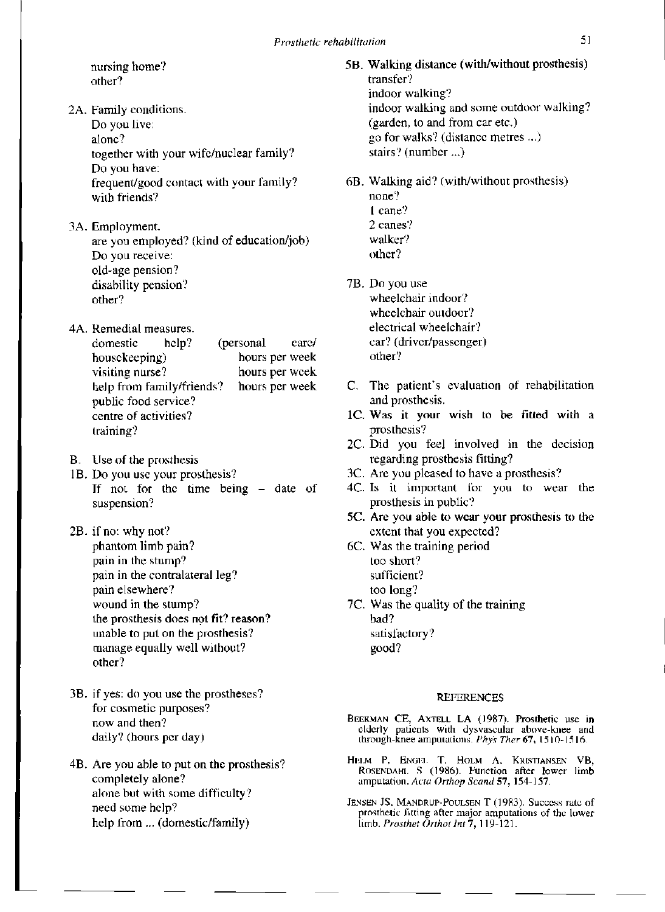nursing home? other?

- 2A. Family conditions. Do you live: alone? together with your wife/nuclear family? Do you have: frequent/good contact with your family? with friends?
- 3A. Employment. are you employed? (kind of education/job) Do you receive: old-age pension? disability pension? other?
- 4A. Remedial measures. domestic help? (personal care/ housekeeping) hours per week visiting nurse? hours per week help from family/friends? hours per week public food service? centre of activities? training?
- B. Use of the prosthesis
- 1B. Do you use your prosthesis? If not for the time being  $-$  date of suspension?
- 2B. if no: why not? phantom limb pain? pain in the stump? pain in the contralateral leg? pain elsewhere? wound in the stump? the prosthesis does not fit? reason? unable to put on the prosthesis? manage equally well without? other?
- 3B. if yes: do you use the prostheses? for cosmetic purposes? now and then? daily? (hours per day)
- 4B. Are you able to put on the prosthesis? completely alone? alone but with some difficulty? need some help? help from... (domestic/family)
- 5B. Walking distance (with/without prosthesis) transfer? indoor walking? indoor walking and some outdoor walking? (garden, to and from car etc.) go for walks? (distance metres ...) stairs? (number...)
- 6B. Walking aid? (with/without prosthesis) none? 1 cane? 2 canes? walker? other?
- 7B. Do you use wheelchair indoor? wheelchair outdoor? electrical wheelchair? car? (driver/passenger) other?
- C. The patient's evaluation of rehabilitation and prosthesis.
- 1C. Was it your wish to be fitted with a prosthesis?
- 2C. Did you feel involved in the decision regarding prosthesis fitting?
- 3C. Are you pleased to have a prosthesis?
- 4C. Is it important for you to wear the prosthesis in public?
- 5C. Are you able to wear your prosthesis to the extent that you expected?
- 6C. Was the training period too short? sufficient? too long?
- 7C. Was the quality of the training bad? satisfactory? good?

#### **REFERENCE S**

- BEEKMAN CE, AXTELL LA (1987). Prosthetic use in elderly patients with dysvascular above-knee and through-knee amputations. *Phys Ther 67,* 1510-1516.
- HELM P, ENGEL T, HOLM A, KRISTIANSEN VB, ROSENDAHL S (1986). Function after lower limb amputation. *Acta Orthop Scand* 57, 154-157.
- JENSEN JS, MANDRUP-POULSEN T (1983). Success rate of prosthetic fitting after major amputations of the lower limb. *Prosthet Orthot Int* 7, 119-121.